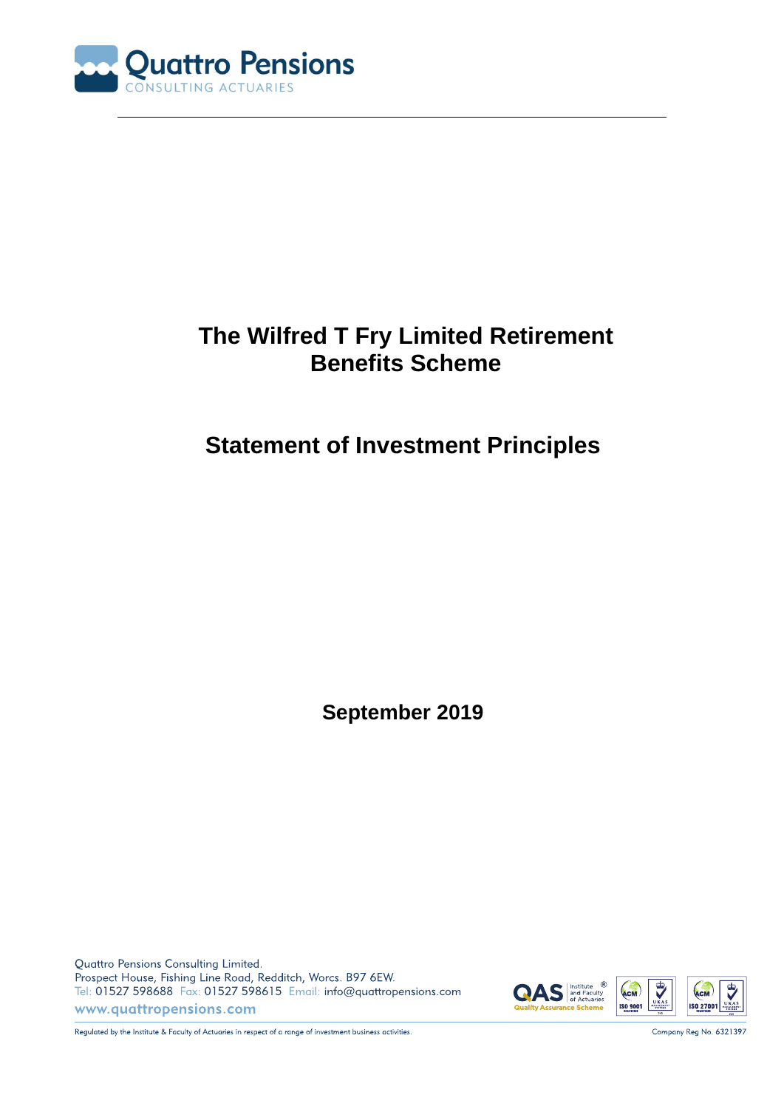

# **The Wilfred T Fry Limited Retirement Benefits Scheme**

# **Statement of Investment Principles**

**September 2019**

Quattro Pensions Consulting Limited. Prospect House, Fishing Line Road, Redditch, Worcs. B97 6EW. Tel: 01527 598688 Fax: 01527 598615 Email: info@quattropensions.com www.quattropensions.com



Regulated by the Institute & Faculty of Actuaries in respect of a range of investment business activities.

Company Reg No. 6321397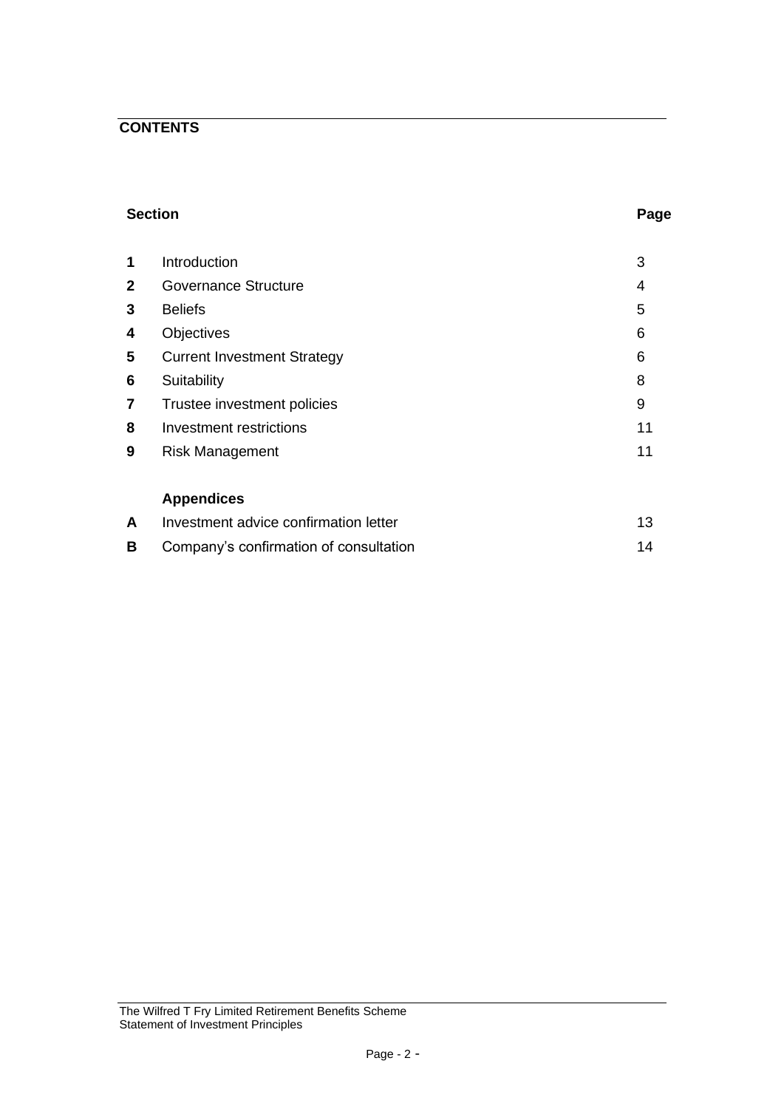# **CONTENTS**

### **Section Page**

| 1              | Introduction                       | 3  |
|----------------|------------------------------------|----|
| $\mathbf{2}$   | <b>Governance Structure</b>        | 4  |
| 3              | <b>Beliefs</b>                     | 5  |
| 4              | <b>Objectives</b>                  | 6  |
| 5              | <b>Current Investment Strategy</b> | 6  |
| 6              | Suitability                        | 8  |
| $\overline{7}$ | Trustee investment policies        | 9  |
| 8              | Investment restrictions            | 11 |
| 9              | <b>Risk Management</b>             | 11 |
|                |                                    |    |
|                | <br>$\blacksquare$                 |    |

# **Appendices**

|   | Investment advice confirmation letter  |  |
|---|----------------------------------------|--|
| B | Company's confirmation of consultation |  |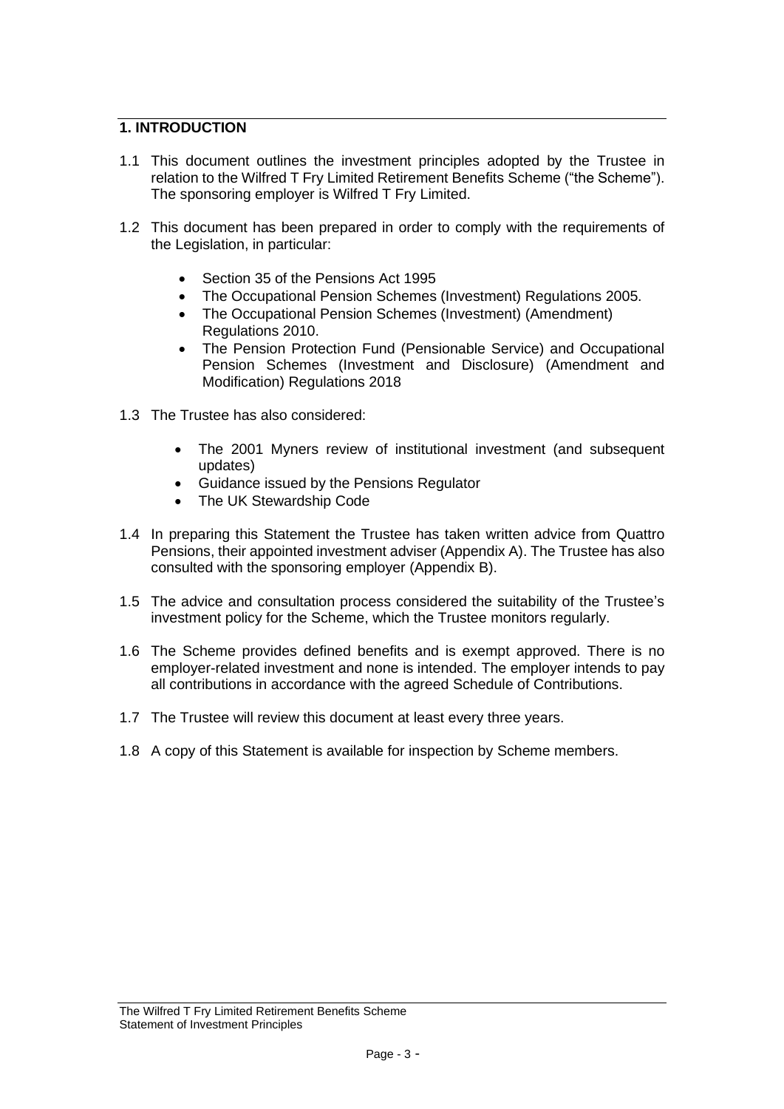# **1. INTRODUCTION**

- 1.1 This document outlines the investment principles adopted by the Trustee in relation to the Wilfred T Fry Limited Retirement Benefits Scheme ("the Scheme"). The sponsoring employer is Wilfred T Fry Limited.
- 1.2 This document has been prepared in order to comply with the requirements of the Legislation, in particular:
	- Section 35 of the Pensions Act 1995
	- The Occupational Pension Schemes (Investment) Regulations 2005.
	- The Occupational Pension Schemes (Investment) (Amendment) Regulations 2010.
	- The [Pension Protection Fund \(Pensionable Service\) and Occupational](http://www.legislation.gov.uk/uksi/2018/988/contents/made)  [Pension Schemes \(Investment and Disclosure\) \(Amendment and](http://www.legislation.gov.uk/uksi/2018/988/contents/made)  [Modification\) Regulations 2018](http://www.legislation.gov.uk/uksi/2018/988/contents/made)
- 1.3 The Trustee has also considered:
	- The 2001 Myners review of institutional investment (and subsequent updates)
	- Guidance issued by the Pensions Regulator
	- The UK Stewardship Code
- 1.4 In preparing this Statement the Trustee has taken written advice from Quattro Pensions, their appointed investment adviser (Appendix A). The Trustee has also consulted with the sponsoring employer (Appendix B).
- 1.5 The advice and consultation process considered the suitability of the Trustee's investment policy for the Scheme, which the Trustee monitors regularly.
- 1.6 The Scheme provides defined benefits and is exempt approved. There is no employer-related investment and none is intended. The employer intends to pay all contributions in accordance with the agreed Schedule of Contributions.
- 1.7 The Trustee will review this document at least every three years.
- 1.8 A copy of this Statement is available for inspection by Scheme members.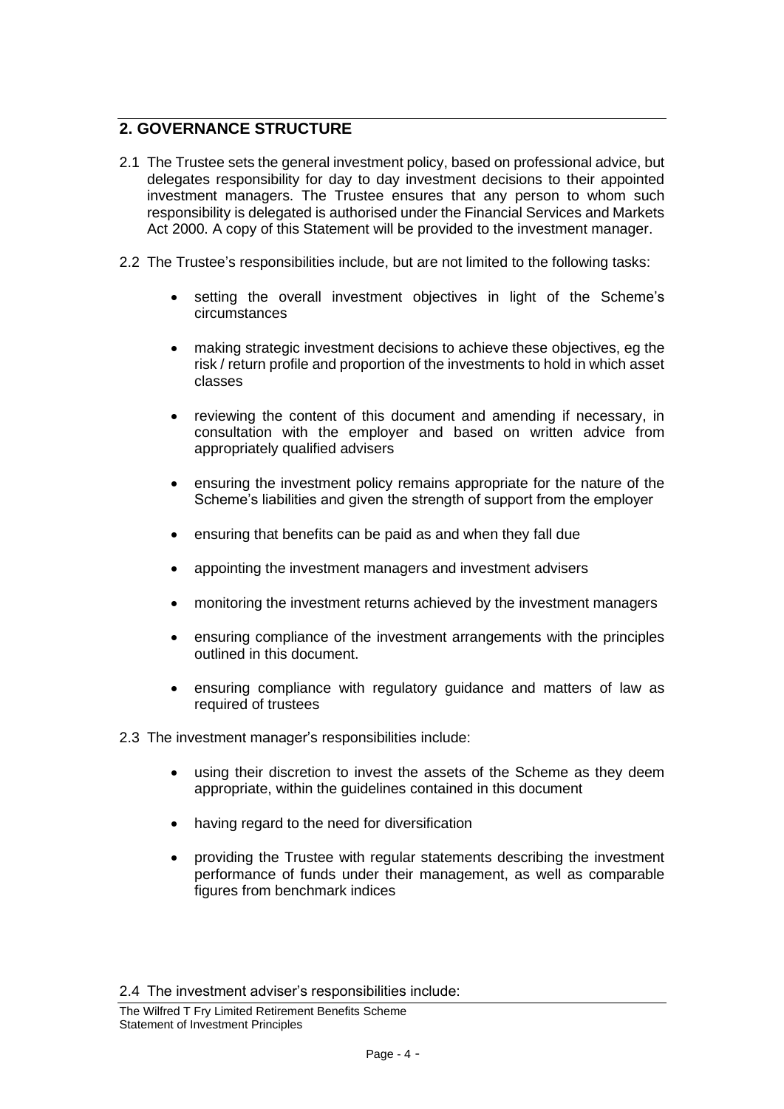# **2. GOVERNANCE STRUCTURE**

- 2.1 The Trustee sets the general investment policy, based on professional advice, but delegates responsibility for day to day investment decisions to their appointed investment managers. The Trustee ensures that any person to whom such responsibility is delegated is authorised under the Financial Services and Markets Act 2000. A copy of this Statement will be provided to the investment manager.
- 2.2 The Trustee's responsibilities include, but are not limited to the following tasks:
	- setting the overall investment objectives in light of the Scheme's circumstances
	- making strategic investment decisions to achieve these objectives, eg the risk / return profile and proportion of the investments to hold in which asset classes
	- reviewing the content of this document and amending if necessary, in consultation with the employer and based on written advice from appropriately qualified advisers
	- ensuring the investment policy remains appropriate for the nature of the Scheme's liabilities and given the strength of support from the employer
	- ensuring that benefits can be paid as and when they fall due
	- appointing the investment managers and investment advisers
	- monitoring the investment returns achieved by the investment managers
	- ensuring compliance of the investment arrangements with the principles outlined in this document.
	- ensuring compliance with regulatory guidance and matters of law as required of trustees
- 2.3 The investment manager's responsibilities include:
	- using their discretion to invest the assets of the Scheme as they deem appropriate, within the guidelines contained in this document
	- having regard to the need for diversification
	- providing the Trustee with regular statements describing the investment performance of funds under their management, as well as comparable figures from benchmark indices

2.4 The investment adviser's responsibilities include: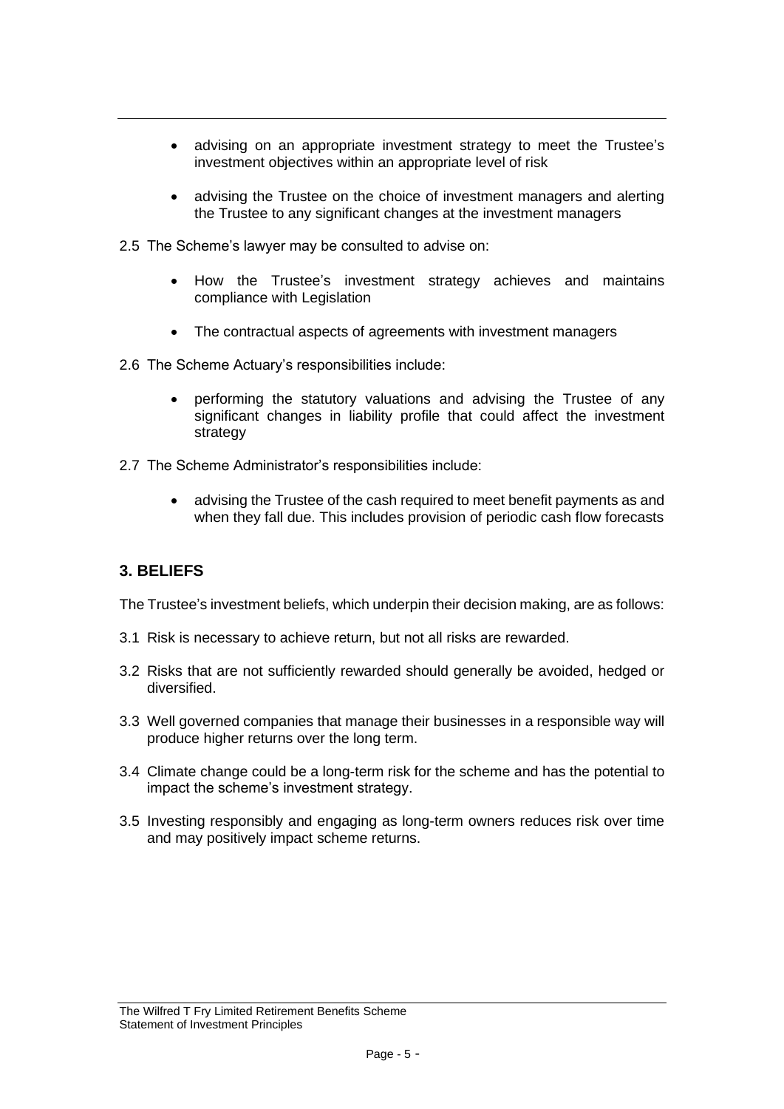- advising on an appropriate investment strategy to meet the Trustee's investment objectives within an appropriate level of risk
- advising the Trustee on the choice of investment managers and alerting the Trustee to any significant changes at the investment managers
- 2.5 The Scheme's lawyer may be consulted to advise on:
	- How the Trustee's investment strategy achieves and maintains compliance with Legislation
	- The contractual aspects of agreements with investment managers
- 2.6 The Scheme Actuary's responsibilities include:
	- performing the statutory valuations and advising the Trustee of any significant changes in liability profile that could affect the investment strategy
- 2.7 The Scheme Administrator's responsibilities include:
	- advising the Trustee of the cash required to meet benefit payments as and when they fall due. This includes provision of periodic cash flow forecasts

# **3. BELIEFS**

The Trustee's investment beliefs, which underpin their decision making, are as follows:

- 3.1 Risk is necessary to achieve return, but not all risks are rewarded.
- 3.2 Risks that are not sufficiently rewarded should generally be avoided, hedged or diversified.
- 3.3 Well governed companies that manage their businesses in a responsible way will produce higher returns over the long term.
- 3.4 Climate change could be a long-term risk for the scheme and has the potential to impact the scheme's investment strategy.
- 3.5 Investing responsibly and engaging as long-term owners reduces risk over time and may positively impact scheme returns.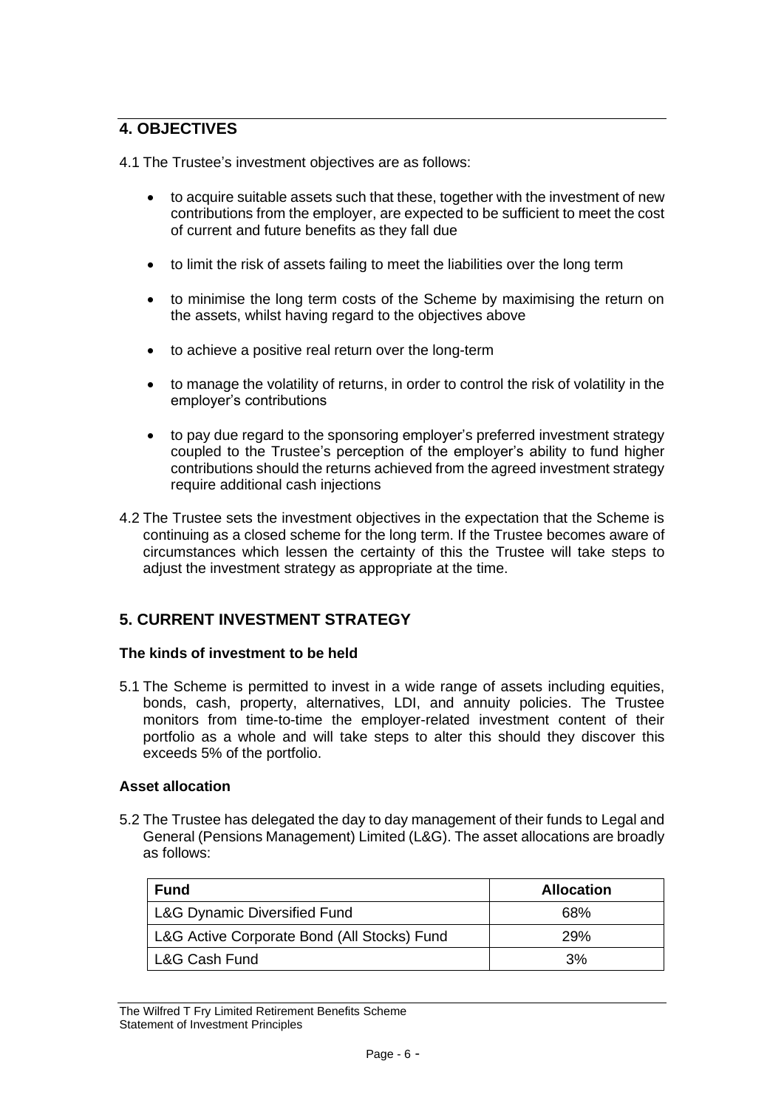# **4. OBJECTIVES**

4.1 The Trustee's investment objectives are as follows:

- to acquire suitable assets such that these, together with the investment of new contributions from the employer, are expected to be sufficient to meet the cost of current and future benefits as they fall due
- to limit the risk of assets failing to meet the liabilities over the long term
- to minimise the long term costs of the Scheme by maximising the return on the assets, whilst having regard to the objectives above
- to achieve a positive real return over the long-term
- to manage the volatility of returns, in order to control the risk of volatility in the employer's contributions
- to pay due regard to the sponsoring employer's preferred investment strategy coupled to the Trustee's perception of the employer's ability to fund higher contributions should the returns achieved from the agreed investment strategy require additional cash injections
- 4.2 The Trustee sets the investment objectives in the expectation that the Scheme is continuing as a closed scheme for the long term. If the Trustee becomes aware of circumstances which lessen the certainty of this the Trustee will take steps to adjust the investment strategy as appropriate at the time.

# **5. CURRENT INVESTMENT STRATEGY**

#### **The kinds of investment to be held**

5.1 The Scheme is permitted to invest in a wide range of assets including equities, bonds, cash, property, alternatives, LDI, and annuity policies. The Trustee monitors from time-to-time the employer-related investment content of their portfolio as a whole and will take steps to alter this should they discover this exceeds 5% of the portfolio.

#### **Asset allocation**

5.2 The Trustee has delegated the day to day management of their funds to Legal and General (Pensions Management) Limited (L&G). The asset allocations are broadly as follows:

| <b>Fund</b>                                 | <b>Allocation</b> |  |
|---------------------------------------------|-------------------|--|
| L&G Dynamic Diversified Fund                | 68%               |  |
| L&G Active Corporate Bond (All Stocks) Fund | <b>29%</b>        |  |
| L&G Cash Fund                               | 3%                |  |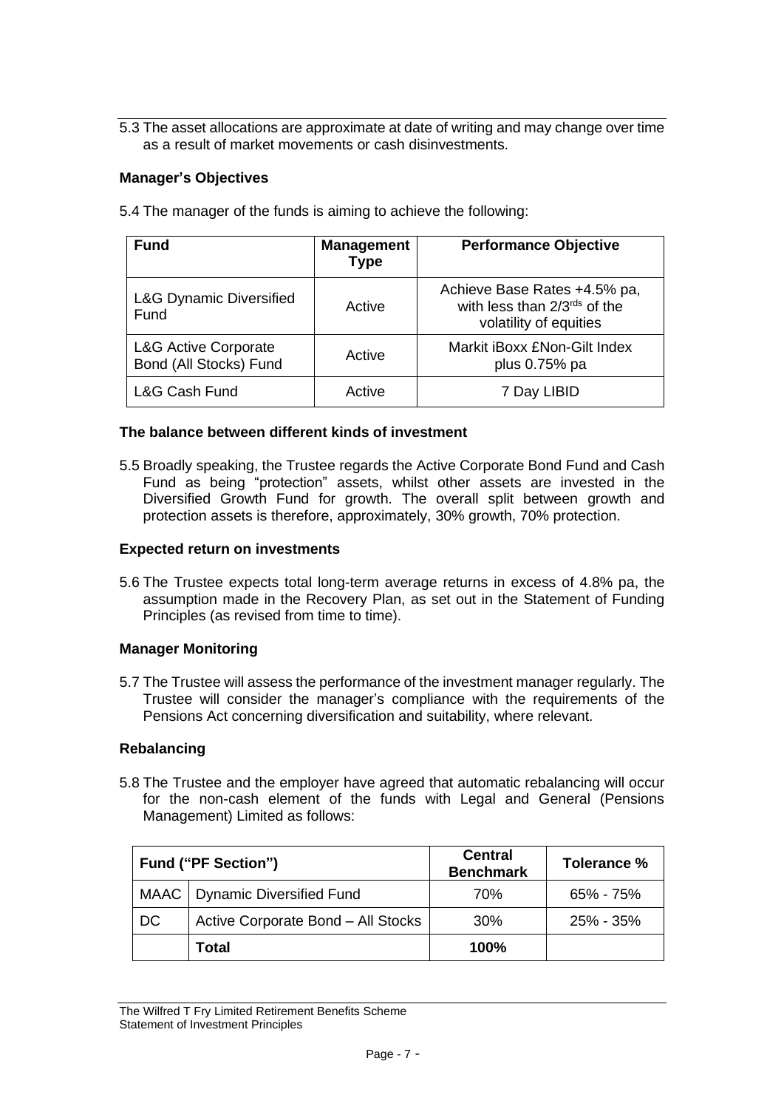5.3 The asset allocations are approximate at date of writing and may change over time as a result of market movements or cash disinvestments.

### **Manager's Objectives**

| <b>Fund</b>                                               | <b>Management</b><br><b>Type</b> | <b>Performance Objective</b>                                                           |
|-----------------------------------------------------------|----------------------------------|----------------------------------------------------------------------------------------|
| <b>L&amp;G Dynamic Diversified</b><br>Fund                | Active                           | Achieve Base Rates +4.5% pa,<br>with less than 2/3rds of the<br>volatility of equities |
| <b>L&amp;G Active Corporate</b><br>Bond (All Stocks) Fund | Active                           | Markit iBoxx £Non-Gilt Index<br>plus 0.75% pa                                          |
| L&G Cash Fund<br>Active                                   |                                  | 7 Day LIBID                                                                            |

5.4 The manager of the funds is aiming to achieve the following:

#### **The balance between different kinds of investment**

5.5 Broadly speaking, the Trustee regards the Active Corporate Bond Fund and Cash Fund as being "protection" assets, whilst other assets are invested in the Diversified Growth Fund for growth. The overall split between growth and protection assets is therefore, approximately, 30% growth, 70% protection.

#### **Expected return on investments**

5.6 The Trustee expects total long-term average returns in excess of 4.8% pa, the assumption made in the Recovery Plan, as set out in the Statement of Funding Principles (as revised from time to time).

### **Manager Monitoring**

5.7 The Trustee will assess the performance of the investment manager regularly. The Trustee will consider the manager's compliance with the requirements of the Pensions Act concerning diversification and suitability, where relevant.

### **Rebalancing**

5.8 The Trustee and the employer have agreed that automatic rebalancing will occur for the non-cash element of the funds with Legal and General (Pensions Management) Limited as follows:

|    | <b>Fund ("PF Section")</b>         | <b>Central</b><br><b>Benchmark</b> | Tolerance % |
|----|------------------------------------|------------------------------------|-------------|
|    | MAAC   Dynamic Diversified Fund    | 70%                                | 65% - 75%   |
| DC | Active Corporate Bond - All Stocks | 30%                                | 25% - 35%   |
|    | Total                              | 100%                               |             |

The Wilfred T Fry Limited Retirement Benefits Scheme Statement of Investment Principles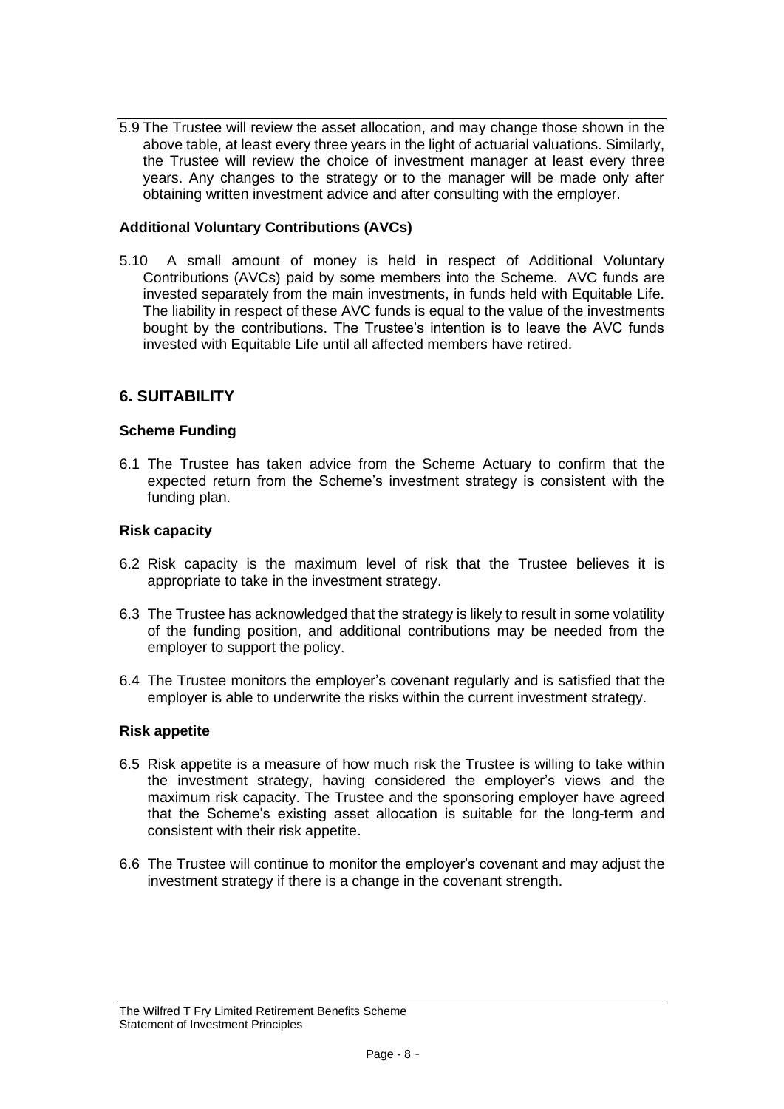5.9 The Trustee will review the asset allocation, and may change those shown in the above table, at least every three years in the light of actuarial valuations. Similarly, the Trustee will review the choice of investment manager at least every three years. Any changes to the strategy or to the manager will be made only after obtaining written investment advice and after consulting with the employer.

## **Additional Voluntary Contributions (AVCs)**

5.10 A small amount of money is held in respect of Additional Voluntary Contributions (AVCs) paid by some members into the Scheme. AVC funds are invested separately from the main investments, in funds held with Equitable Life. The liability in respect of these AVC funds is equal to the value of the investments bought by the contributions. The Trustee's intention is to leave the AVC funds invested with Equitable Life until all affected members have retired.

# **6. SUITABILITY**

## **Scheme Funding**

6.1 The Trustee has taken advice from the Scheme Actuary to confirm that the expected return from the Scheme's investment strategy is consistent with the funding plan.

### **Risk capacity**

- 6.2 Risk capacity is the maximum level of risk that the Trustee believes it is appropriate to take in the investment strategy.
- 6.3 The Trustee has acknowledged that the strategy is likely to result in some volatility of the funding position, and additional contributions may be needed from the employer to support the policy.
- 6.4 The Trustee monitors the employer's covenant regularly and is satisfied that the employer is able to underwrite the risks within the current investment strategy.

### **Risk appetite**

- 6.5 Risk appetite is a measure of how much risk the Trustee is willing to take within the investment strategy, having considered the employer's views and the maximum risk capacity. The Trustee and the sponsoring employer have agreed that the Scheme's existing asset allocation is suitable for the long-term and consistent with their risk appetite.
- 6.6 The Trustee will continue to monitor the employer's covenant and may adjust the investment strategy if there is a change in the covenant strength.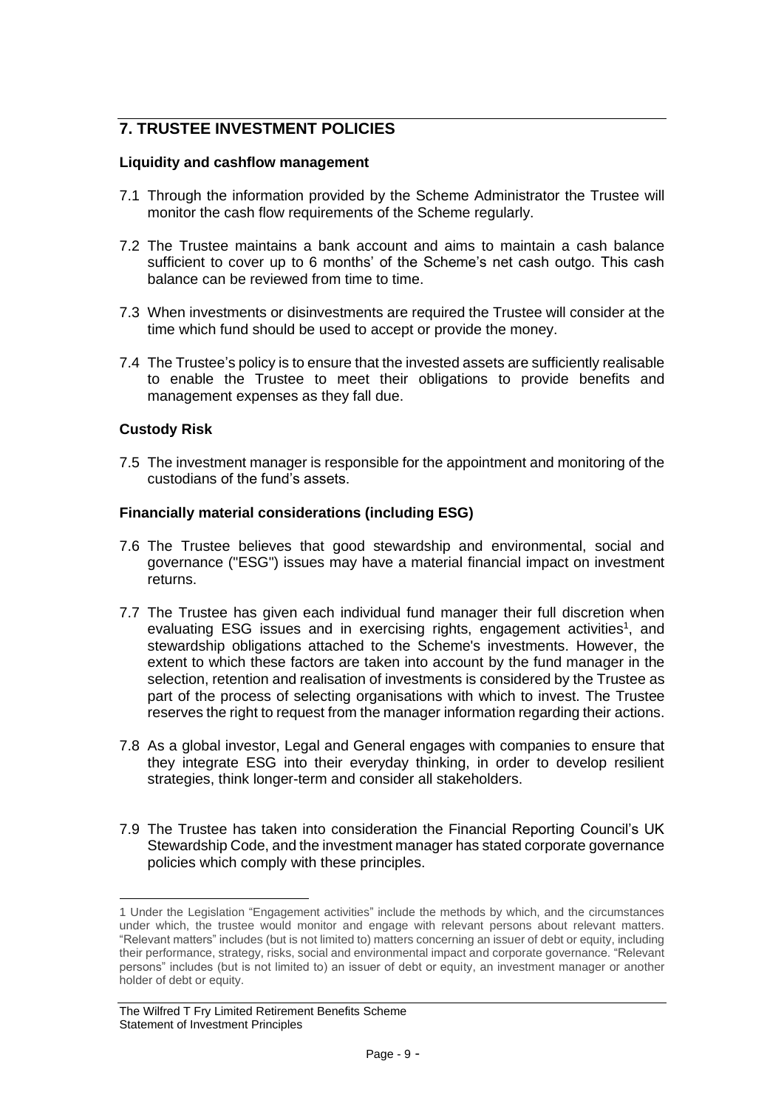# **7. TRUSTEE INVESTMENT POLICIES**

### **Liquidity and cashflow management**

- 7.1 Through the information provided by the Scheme Administrator the Trustee will monitor the cash flow requirements of the Scheme regularly.
- 7.2 The Trustee maintains a bank account and aims to maintain a cash balance sufficient to cover up to 6 months' of the Scheme's net cash outgo. This cash balance can be reviewed from time to time.
- 7.3 When investments or disinvestments are required the Trustee will consider at the time which fund should be used to accept or provide the money.
- 7.4 The Trustee's policy is to ensure that the invested assets are sufficiently realisable to enable the Trustee to meet their obligations to provide benefits and management expenses as they fall due.

### **Custody Risk**

7.5 The investment manager is responsible for the appointment and monitoring of the custodians of the fund's assets.

#### **Financially material considerations (including ESG)**

- 7.6 The Trustee believes that good stewardship and environmental, social and governance ("ESG") issues may have a material financial impact on investment returns.
- 7.7 The Trustee has given each individual fund manager their full discretion when evaluating ESG issues and in exercising rights, engagement activities<sup>1</sup>, and stewardship obligations attached to the Scheme's investments. However, the extent to which these factors are taken into account by the fund manager in the selection, retention and realisation of investments is considered by the Trustee as part of the process of selecting organisations with which to invest. The Trustee reserves the right to request from the manager information regarding their actions.
- 7.8 As a global investor, Legal and General engages with companies to ensure that they integrate ESG into their everyday thinking, in order to develop resilient strategies, think longer-term and consider all stakeholders.
- 7.9 The Trustee has taken into consideration the Financial Reporting Council's UK Stewardship Code, and the investment manager has stated corporate governance policies which comply with these principles.

<sup>1</sup> Under the Legislation "Engagement activities" include the methods by which, and the circumstances under which, the trustee would monitor and engage with relevant persons about relevant matters. "Relevant matters" includes (but is not limited to) matters concerning an issuer of debt or equity, including their performance, strategy, risks, social and environmental impact and corporate governance. "Relevant persons" includes (but is not limited to) an issuer of debt or equity, an investment manager or another holder of debt or equity.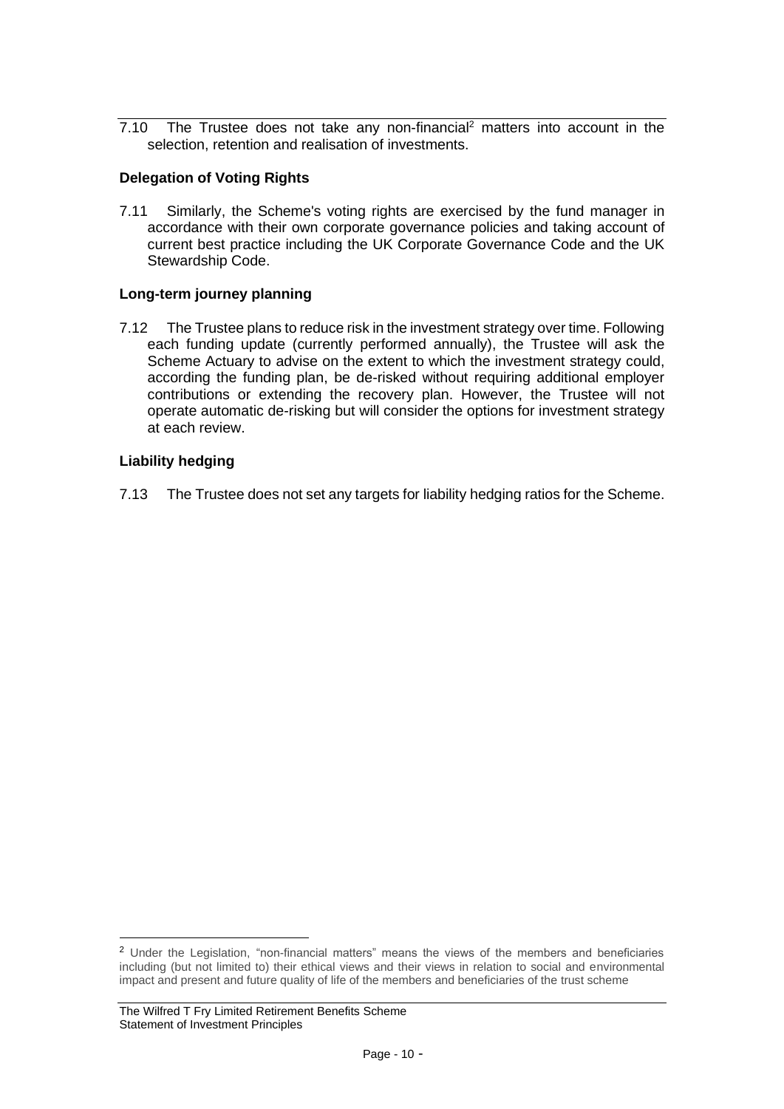7.10 The Trustee does not take any non-financial<sup>2</sup> matters into account in the selection, retention and realisation of investments.

## **Delegation of Voting Rights**

7.11 Similarly, the Scheme's voting rights are exercised by the fund manager in accordance with their own corporate governance policies and taking account of current best practice including the UK Corporate Governance Code and the UK Stewardship Code.

## **Long-term journey planning**

7.12 The Trustee plans to reduce risk in the investment strategy over time. Following each funding update (currently performed annually), the Trustee will ask the Scheme Actuary to advise on the extent to which the investment strategy could, according the funding plan, be de-risked without requiring additional employer contributions or extending the recovery plan. However, the Trustee will not operate automatic de-risking but will consider the options for investment strategy at each review.

## **Liability hedging**

7.13 The Trustee does not set any targets for liability hedging ratios for the Scheme.

<sup>2</sup> Under the Legislation, "non-financial matters" means the views of the members and beneficiaries including (but not limited to) their ethical views and their views in relation to social and environmental impact and present and future quality of life of the members and beneficiaries of the trust scheme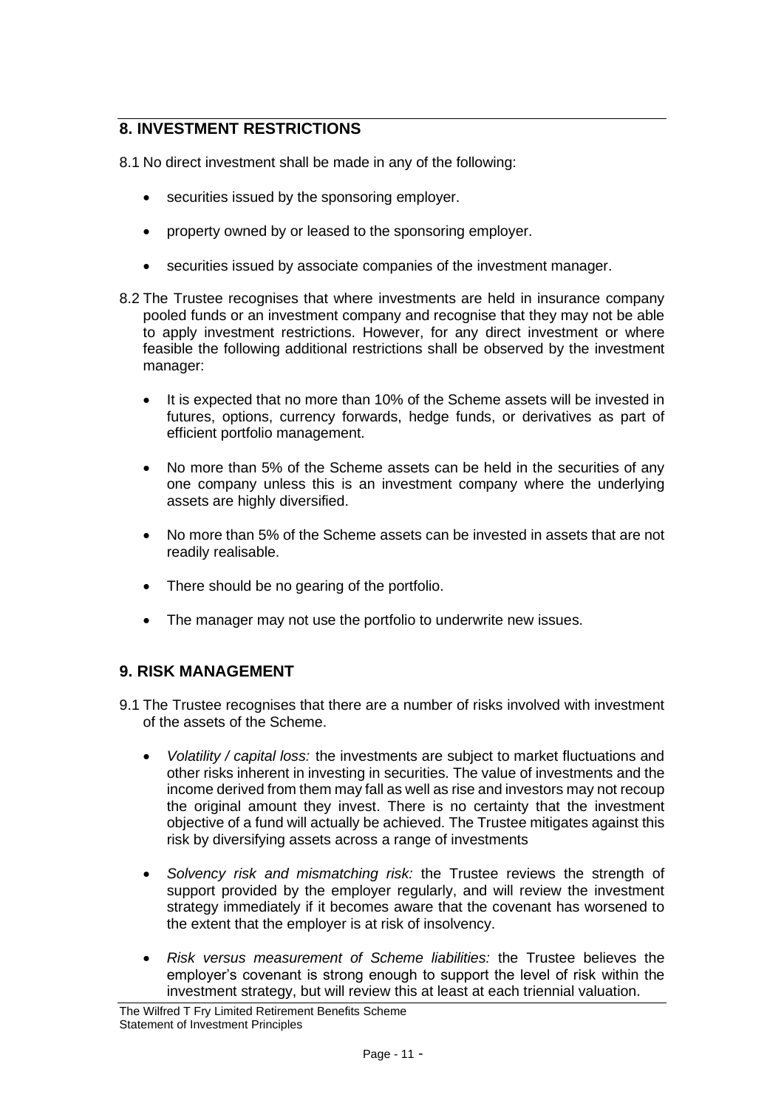# **8. INVESTMENT RESTRICTIONS**

8.1 No direct investment shall be made in any of the following:

- securities issued by the sponsoring employer.
- property owned by or leased to the sponsoring employer.
- securities issued by associate companies of the investment manager.
- 8.2 The Trustee recognises that where investments are held in insurance company pooled funds or an investment company and recognise that they may not be able to apply investment restrictions. However, for any direct investment or where feasible the following additional restrictions shall be observed by the investment manager:
	- It is expected that no more than 10% of the Scheme assets will be invested in futures, options, currency forwards, hedge funds, or derivatives as part of efficient portfolio management.
	- No more than 5% of the Scheme assets can be held in the securities of any one company unless this is an investment company where the underlying assets are highly diversified.
	- No more than 5% of the Scheme assets can be invested in assets that are not readily realisable.
	- There should be no gearing of the portfolio.
	- The manager may not use the portfolio to underwrite new issues.

# **9. RISK MANAGEMENT**

- 9.1 The Trustee recognises that there are a number of risks involved with investment of the assets of the Scheme.
	- *Volatility / capital loss:* the investments are subject to market fluctuations and other risks inherent in investing in securities. The value of investments and the income derived from them may fall as well as rise and investors may not recoup the original amount they invest. There is no certainty that the investment objective of a fund will actually be achieved. The Trustee mitigates against this risk by diversifying assets across a range of investments
	- *Solvency risk and mismatching risk:* the Trustee reviews the strength of support provided by the employer regularly, and will review the investment strategy immediately if it becomes aware that the covenant has worsened to the extent that the employer is at risk of insolvency.
	- *Risk versus measurement of Scheme liabilities:* the Trustee believes the employer's covenant is strong enough to support the level of risk within the investment strategy, but will review this at least at each triennial valuation.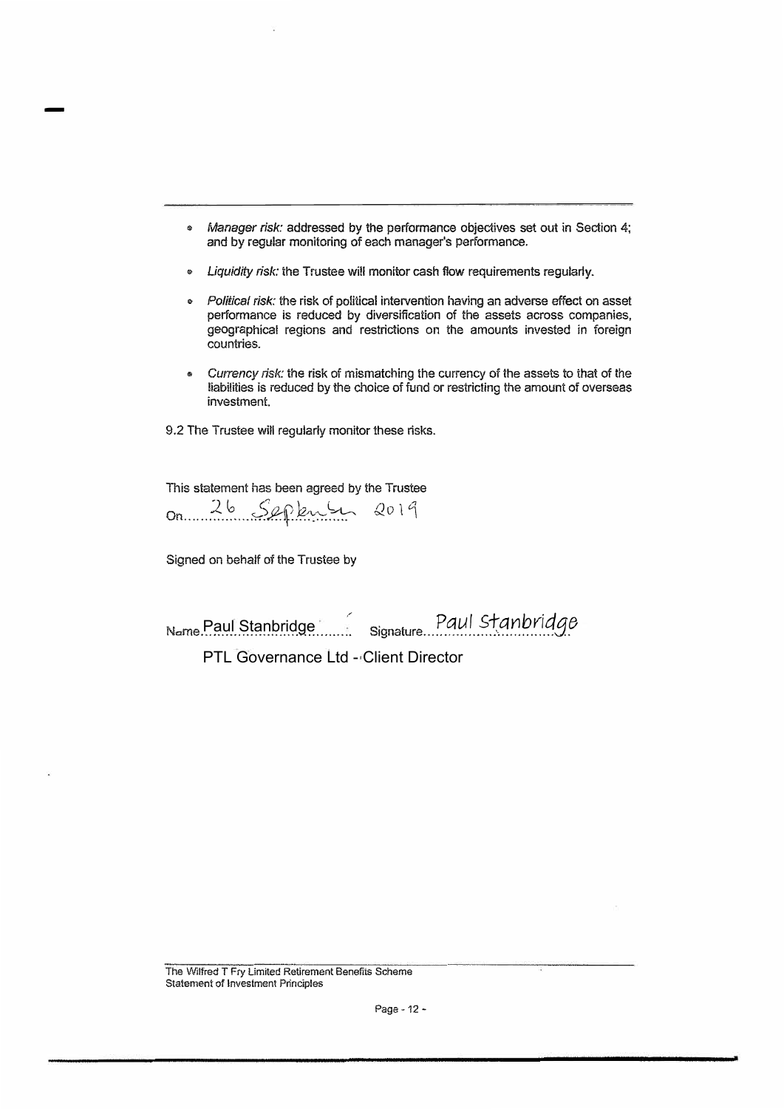- *Manager risk:* addressed by the performance objectives set out in Section 4; and by regular monitoring of each manager's performance.
- *Liquidity risk:* the Trustee will monitor cash flow requirements regularly.
- *Political risk:* the risk of political intervention having an advarse effect on asset performance is reduced by diversification of the assets across companies, geographical regions and restrictions on the amounts invested in foreign countries.
- *Currency risk:* the risk of mismatching the currency of the assets to that of the liabilities is reduced by the choice of fund or restricting the amount of overseas investment.

9.2 The Trustee will regularly monitor these risks.

This statement has been agreed by the Trustee

On ...... ?.-\_ .\? ..... o,-S'fl.:f *,4.c:,: �* Q O 1 <sup>1</sup>

Signed on behalf of the Trustee by

-

., • Name..................................... Signature ................. : ................. . Paul Stanbridge

PTL Governance Ltd - Client Director

The Wilfred T Fry Limited Retirement Benefits Scheme **Statement of Investment Principles**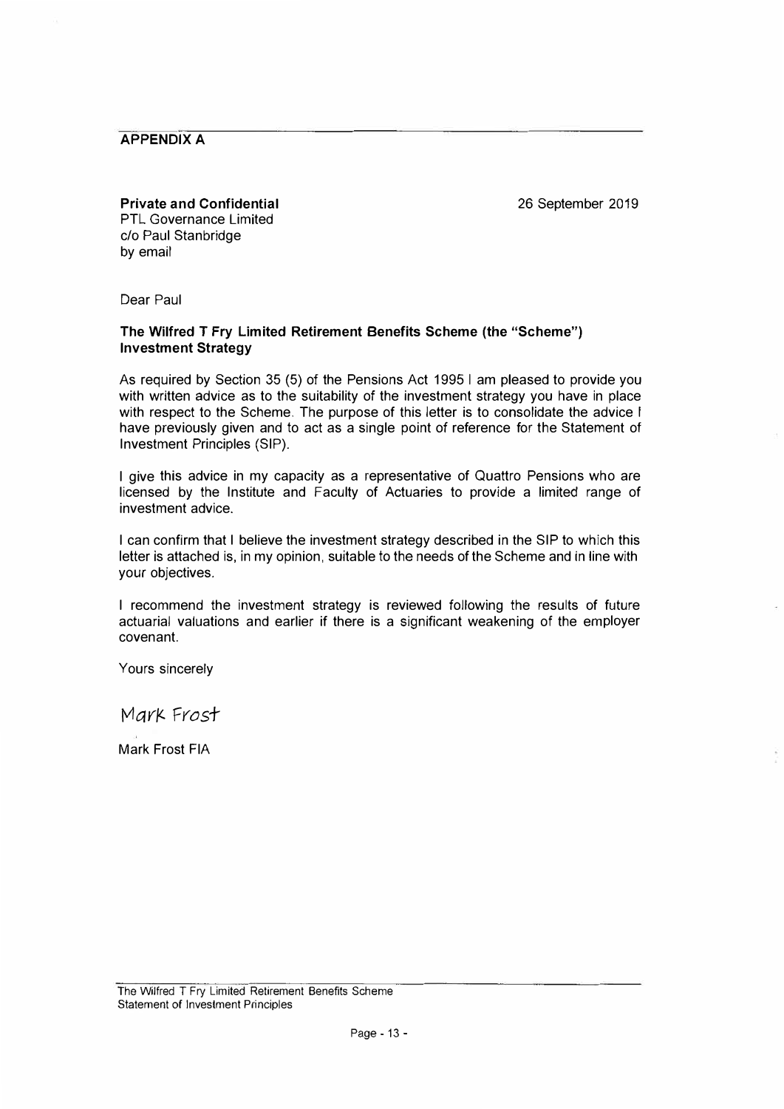**APPENDIX A** 

26 September 2019

**Private and Confidential**  PTL Governance Limited c/o Paul Stanbridge by email

Dear Paul

#### **The Wilfred T Fry Limited Retirement Benefits Scheme (the "Scheme") Investment Strategy**

As required by Section 35 (5) of the Pensions Act 1995 I am pleased to provide you with written advice as to the suitability of the investment strategy you have in place with respect to the Scheme. The purpose of this letter is to consolidate the advice I have previously given and to act as a single point of reference for the Statement of Investment Principles (SIP).

I give this advice in my capacity as a representative of Quattro Pensions who are licensed by the Institute and Faculty of Actuaries to provide a limited range of investment advice.

I can confirm that I believe the investment strategy described in the SIP to which this letter is attached is, in my opinion, suitable to the needs of the Scheme and in line with your objectives.

I recommend the investment strategy is reviewed following the results of future actuarial valuations and earlier if there is a significant weakening of the employer covenant.

Yours sincerely

Mark Frost

Mark Frost FIA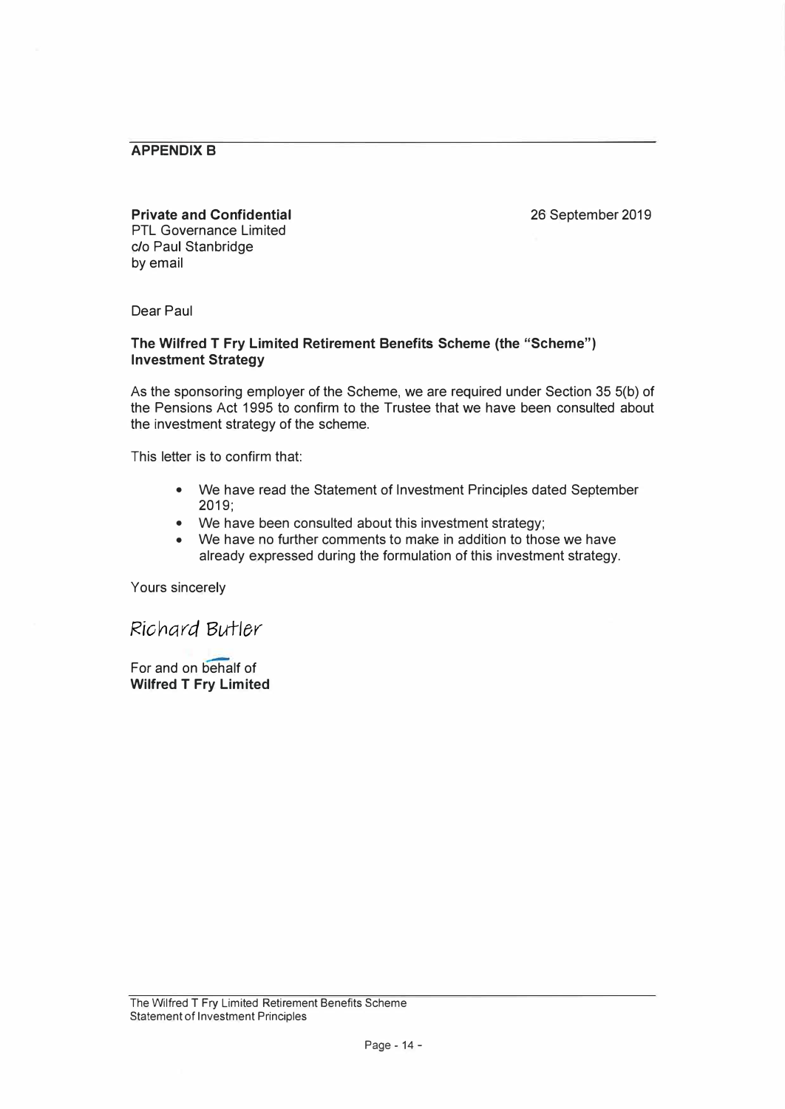### **APPENDIX B**

#### **Private and Confidential**

26 September 2019

PTL Governance Limited c/o Paul Stanbridge by email

Dear Paul

#### **The Wilfred T Fry Limited Retirement Benefits Scheme (the "Scheme") Investment Strategy**

As the sponsoring employer of the Scheme, we are required under Section 35 5(b) of the Pensions Act 1995 to confirm to the Trustee that we have been consulted about the investment strategy of the scheme.

This letter is to confirm that:

- We have read the Statement of Investment Principles dated September 2019;
- We have been consulted about this investment strategy;
- We have no further comments to make in addition to those we have already expressed during the formulation of this investment strategy.

Yours sincerely

Richard Butler

For and on behalf of **Wilfred T Fry Limited**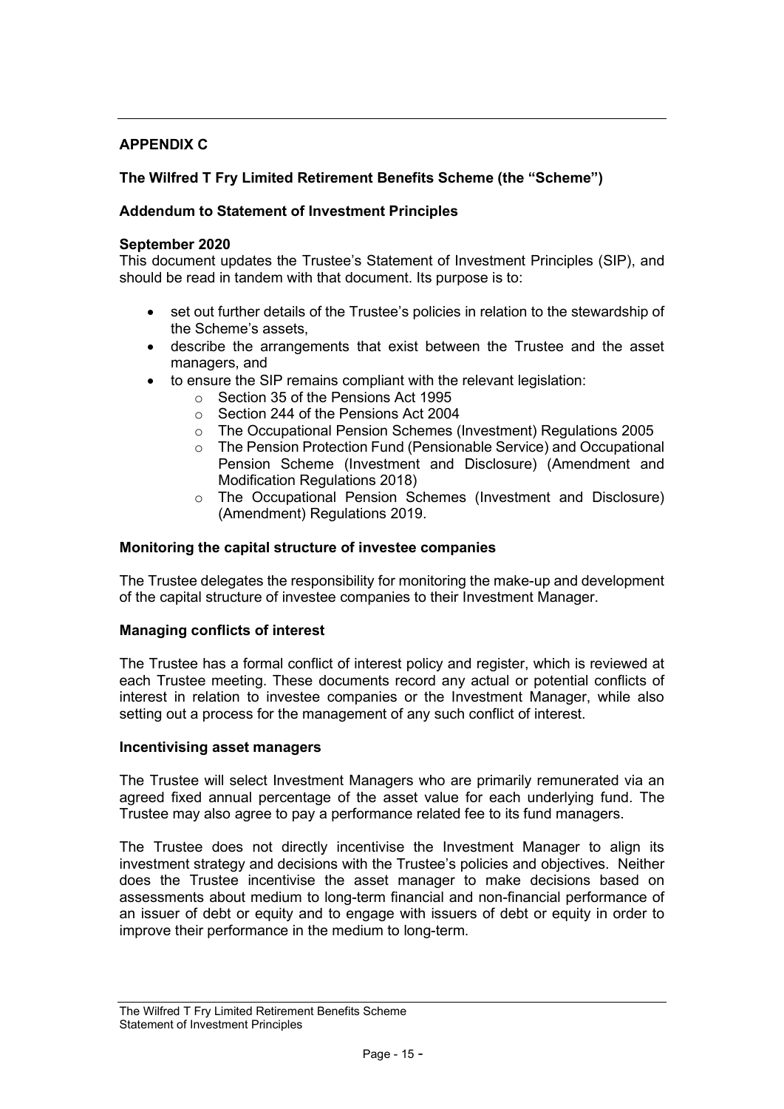# APPENDIX C

# The Wilfred T Fry Limited Retirement Benefits Scheme (the "Scheme")

### Addendum to Statement of Investment Principles

#### September 2020

This document updates the Trustee's Statement of Investment Principles (SIP), and should be read in tandem with that document. Its purpose is to:

- set out further details of the Trustee's policies in relation to the stewardship of the Scheme's assets,
- describe the arrangements that exist between the Trustee and the asset managers, and
- to ensure the SIP remains compliant with the relevant legislation:
	- o Section 35 of the Pensions Act 1995
	- o Section 244 of the Pensions Act 2004
	- o The Occupational Pension Schemes (Investment) Regulations 2005
	- o The Pension Protection Fund (Pensionable Service) and Occupational Pension Scheme (Investment and Disclosure) (Amendment and Modification Regulations 2018)
	- o The Occupational Pension Schemes (Investment and Disclosure) (Amendment) Regulations 2019.

#### Monitoring the capital structure of investee companies

The Trustee delegates the responsibility for monitoring the make-up and development of the capital structure of investee companies to their Investment Manager.

#### Managing conflicts of interest

The Trustee has a formal conflict of interest policy and register, which is reviewed at each Trustee meeting. These documents record any actual or potential conflicts of interest in relation to investee companies or the Investment Manager, while also setting out a process for the management of any such conflict of interest.

#### Incentivising asset managers

The Trustee will select Investment Managers who are primarily remunerated via an agreed fixed annual percentage of the asset value for each underlying fund. The Trustee may also agree to pay a performance related fee to its fund managers.

The Trustee does not directly incentivise the Investment Manager to align its investment strategy and decisions with the Trustee's policies and objectives. Neither does the Trustee incentivise the asset manager to make decisions based on assessments about medium to long-term financial and non-financial performance of an issuer of debt or equity and to engage with issuers of debt or equity in order to improve their performance in the medium to long-term.